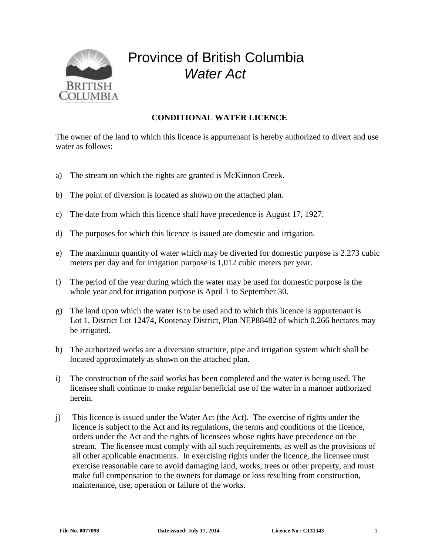

## Province of British Columbia *Water Act*

## **CONDITIONAL WATER LICENCE**

The owner of the land to which this licence is appurtenant is hereby authorized to divert and use water as follows:

- a) The stream on which the rights are granted is McKinnon Creek.
- b) The point of diversion is located as shown on the attached plan.
- c) The date from which this licence shall have precedence is August 17, 1927.
- d) The purposes for which this licence is issued are domestic and irrigation.
- e) The maximum quantity of water which may be diverted for domestic purpose is 2.273 cubic meters per day and for irrigation purpose is 1,012 cubic meters per year.
- f) The period of the year during which the water may be used for domestic purpose is the whole year and for irrigation purpose is April 1 to September 30.
- g) The land upon which the water is to be used and to which this licence is appurtenant is Lot 1, District Lot 12474, Kootenay District, Plan NEP88482 of which 0.266 hectares may be irrigated.
- h) The authorized works are a diversion structure, pipe and irrigation system which shall be located approximately as shown on the attached plan.
- i) The construction of the said works has been completed and the water is being used. The licensee shall continue to make regular beneficial use of the water in a manner authorized herein.
- j) This licence is issued under the Water Act (the Act). The exercise of rights under the licence is subject to the Act and its regulations, the terms and conditions of the licence, orders under the Act and the rights of licensees whose rights have precedence on the stream. The licensee must comply with all such requirements, as well as the provisions of all other applicable enactments. In exercising rights under the licence, the licensee must exercise reasonable care to avoid damaging land, works, trees or other property, and must make full compensation to the owners for damage or loss resulting from construction, maintenance, use, operation or failure of the works.